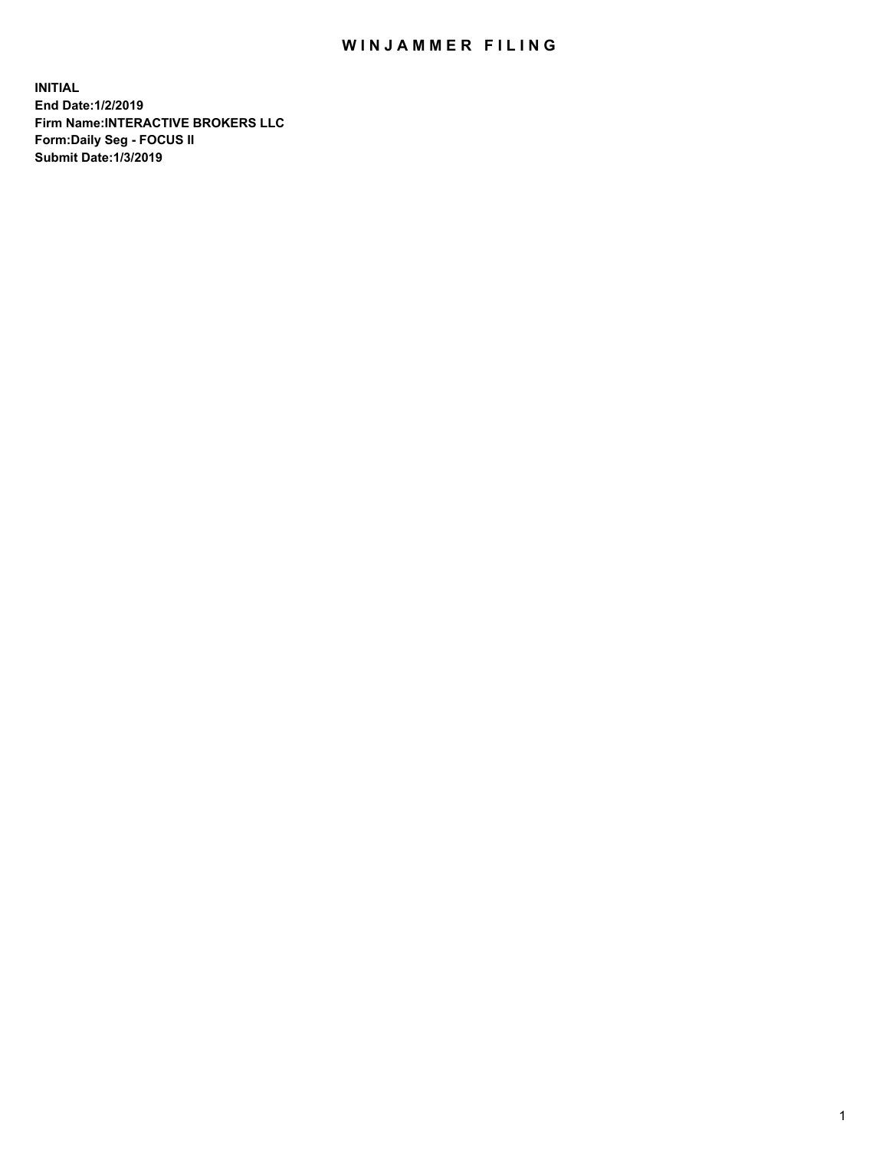## WIN JAMMER FILING

**INITIAL End Date:1/2/2019 Firm Name:INTERACTIVE BROKERS LLC Form:Daily Seg - FOCUS II Submit Date:1/3/2019**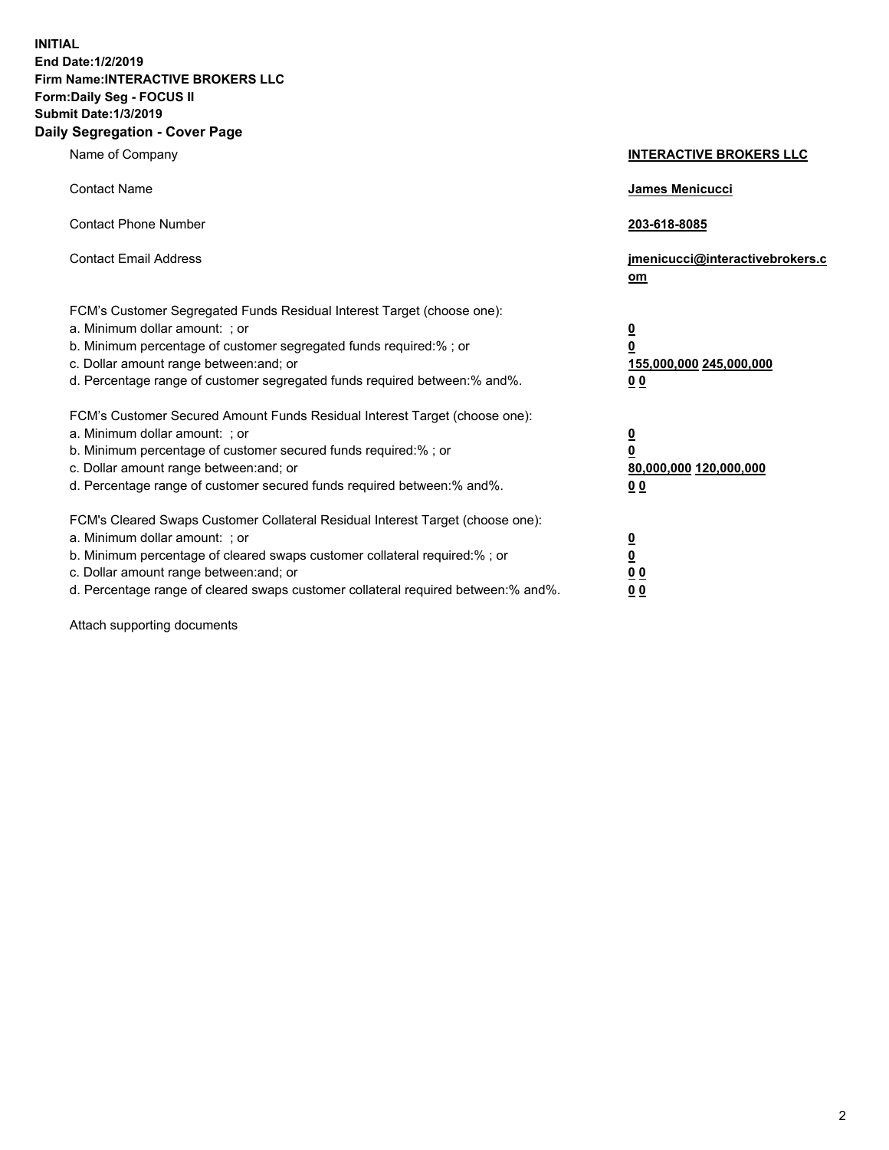**INITIAL End Date:1/2/2019 Firm Name:INTERACTIVE BROKERS LLC Form:Daily Seg - FOCUS II Submit Date:1/3/2019 Daily Segregation - Cover Page**

| Name of Company                                                                                                                                                                                                                                                                                                                | <b>INTERACTIVE BROKERS LLC</b>                                                                  |
|--------------------------------------------------------------------------------------------------------------------------------------------------------------------------------------------------------------------------------------------------------------------------------------------------------------------------------|-------------------------------------------------------------------------------------------------|
| <b>Contact Name</b>                                                                                                                                                                                                                                                                                                            | <b>James Menicucci</b>                                                                          |
| <b>Contact Phone Number</b>                                                                                                                                                                                                                                                                                                    | 203-618-8085                                                                                    |
| <b>Contact Email Address</b>                                                                                                                                                                                                                                                                                                   | jmenicucci@interactivebrokers.c<br>om                                                           |
| FCM's Customer Segregated Funds Residual Interest Target (choose one):<br>a. Minimum dollar amount: ; or<br>b. Minimum percentage of customer segregated funds required:% ; or<br>c. Dollar amount range between: and; or<br>d. Percentage range of customer segregated funds required between:% and%.                         | $\overline{\mathbf{0}}$<br>$\overline{\mathbf{0}}$<br>155,000,000 245,000,000<br>0 <sub>0</sub> |
| FCM's Customer Secured Amount Funds Residual Interest Target (choose one):<br>a. Minimum dollar amount: ; or<br>b. Minimum percentage of customer secured funds required:%; or<br>c. Dollar amount range between: and; or<br>d. Percentage range of customer secured funds required between:% and%.                            | $\overline{\mathbf{0}}$<br>$\mathbf 0$<br>80,000,000 120,000,000<br>0 <sub>0</sub>              |
| FCM's Cleared Swaps Customer Collateral Residual Interest Target (choose one):<br>a. Minimum dollar amount: ; or<br>b. Minimum percentage of cleared swaps customer collateral required:% ; or<br>c. Dollar amount range between: and; or<br>d. Percentage range of cleared swaps customer collateral required between:% and%. | $\overline{\mathbf{0}}$<br>$\underline{\mathbf{0}}$<br>0 <sub>0</sub><br>00                     |

Attach supporting documents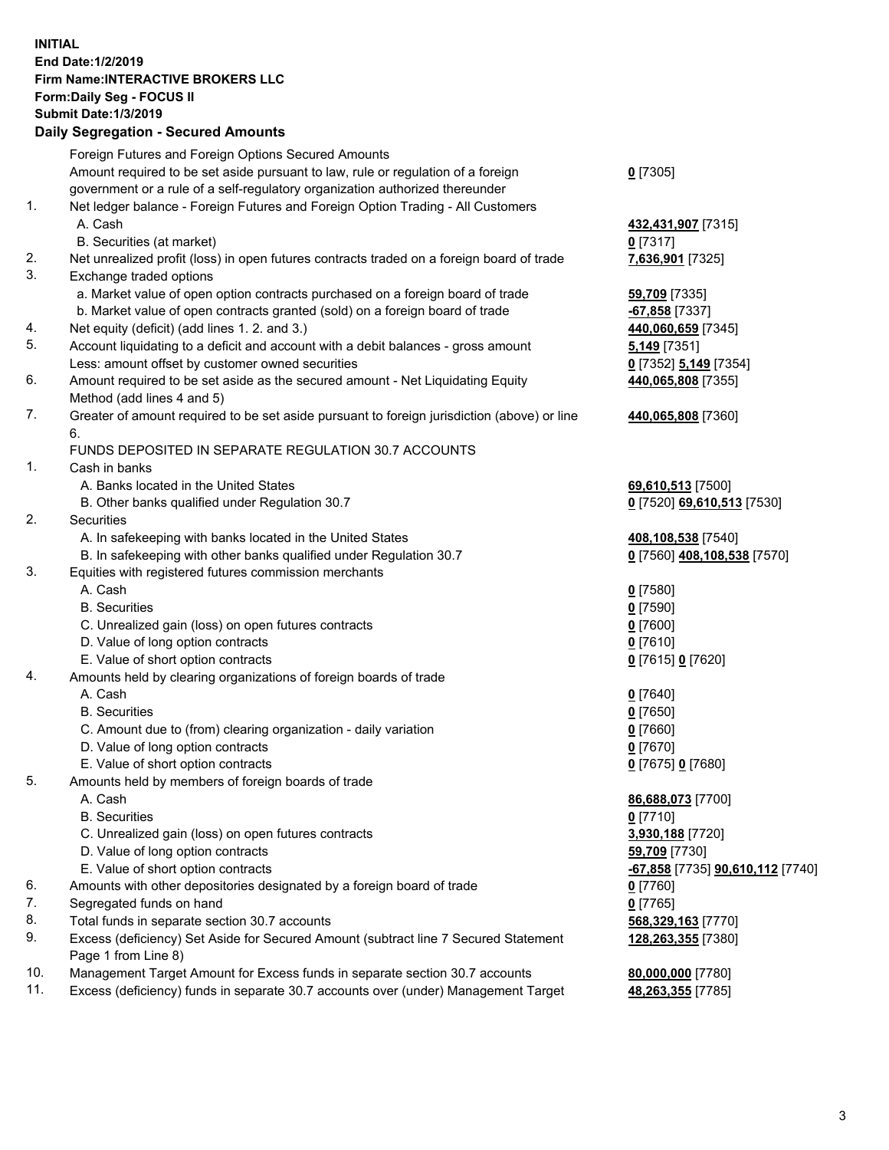## **INITIAL End Date:1/2/2019 Firm Name:INTERACTIVE BROKERS LLC Form:Daily Seg - FOCUS II Submit Date:1/3/2019 Daily Segregation - Secured Amounts**

|     | Foreign Futures and Foreign Options Secured Amounts                                               |                                                      |
|-----|---------------------------------------------------------------------------------------------------|------------------------------------------------------|
|     | Amount required to be set aside pursuant to law, rule or regulation of a foreign                  | $0$ [7305]                                           |
|     | government or a rule of a self-regulatory organization authorized thereunder                      |                                                      |
| 1.  | Net ledger balance - Foreign Futures and Foreign Option Trading - All Customers                   |                                                      |
|     | A. Cash                                                                                           | 432,431,907 [7315]                                   |
|     | B. Securities (at market)                                                                         | $0$ [7317]                                           |
| 2.  | Net unrealized profit (loss) in open futures contracts traded on a foreign board of trade         | 7,636,901 [7325]                                     |
| 3.  | Exchange traded options                                                                           |                                                      |
|     | a. Market value of open option contracts purchased on a foreign board of trade                    | 59,709 [7335]                                        |
|     | b. Market value of open contracts granted (sold) on a foreign board of trade                      | -67,858 [7337]                                       |
| 4.  | Net equity (deficit) (add lines 1.2. and 3.)                                                      | 440,060,659 [7345]                                   |
| 5.  | Account liquidating to a deficit and account with a debit balances - gross amount                 | 5,149 <sub>[7351]</sub>                              |
|     | Less: amount offset by customer owned securities                                                  | 0 [7352] 5,149 [7354]                                |
| 6.  | Amount required to be set aside as the secured amount - Net Liquidating Equity                    | 440,065,808 [7355]                                   |
|     | Method (add lines 4 and 5)                                                                        |                                                      |
| 7.  | Greater of amount required to be set aside pursuant to foreign jurisdiction (above) or line<br>6. | 440,065,808 [7360]                                   |
|     | FUNDS DEPOSITED IN SEPARATE REGULATION 30.7 ACCOUNTS                                              |                                                      |
| 1.  | Cash in banks                                                                                     |                                                      |
|     | A. Banks located in the United States                                                             | 69,610,513 [7500]                                    |
|     | B. Other banks qualified under Regulation 30.7                                                    | 0 [7520] 69,610,513 [7530]                           |
| 2.  | Securities                                                                                        |                                                      |
|     | A. In safekeeping with banks located in the United States                                         | 408,108,538 [7540]                                   |
|     | B. In safekeeping with other banks qualified under Regulation 30.7                                | 0 [7560] 408,108,538 [7570]                          |
| 3.  | Equities with registered futures commission merchants                                             |                                                      |
|     | A. Cash                                                                                           | $0$ [7580]                                           |
|     | <b>B.</b> Securities                                                                              | $0$ [7590]                                           |
|     | C. Unrealized gain (loss) on open futures contracts                                               | $0$ [7600]                                           |
|     | D. Value of long option contracts                                                                 | $0$ [7610]                                           |
|     | E. Value of short option contracts                                                                | 0 [7615] 0 [7620]                                    |
| 4.  | Amounts held by clearing organizations of foreign boards of trade                                 |                                                      |
|     | A. Cash                                                                                           | $0$ [7640]                                           |
|     | <b>B.</b> Securities                                                                              | $0$ [7650]                                           |
|     | C. Amount due to (from) clearing organization - daily variation                                   | $0$ [7660]                                           |
|     | D. Value of long option contracts                                                                 | $0$ [7670]                                           |
|     | E. Value of short option contracts                                                                | 0 [7675] 0 [7680]                                    |
| 5.  | Amounts held by members of foreign boards of trade                                                |                                                      |
|     | A. Cash                                                                                           | 86,688,073 [7700]                                    |
|     | <b>B.</b> Securities                                                                              | $0$ [7710]                                           |
|     | C. Unrealized gain (loss) on open futures contracts                                               | 3,930,188 [7720]                                     |
|     | D. Value of long option contracts                                                                 | 59,709 [7730]                                        |
|     | E. Value of short option contracts                                                                | <mark>-67,858</mark> [7735] <b>90,610,112</b> [7740] |
| 6.  | Amounts with other depositories designated by a foreign board of trade                            | $0$ [7760]                                           |
| 7.  | Segregated funds on hand                                                                          | $0$ [7765]                                           |
| 8.  | Total funds in separate section 30.7 accounts                                                     | 568,329,163 [7770]                                   |
| 9.  | Excess (deficiency) Set Aside for Secured Amount (subtract line 7 Secured Statement               | 128,263,355 [7380]                                   |
|     | Page 1 from Line 8)                                                                               |                                                      |
| 10. | Management Target Amount for Excess funds in separate section 30.7 accounts                       | 80,000,000 [7780]                                    |
| 11. | Excess (deficiency) funds in separate 30.7 accounts over (under) Management Target                | 48,263,355 [7785]                                    |
|     |                                                                                                   |                                                      |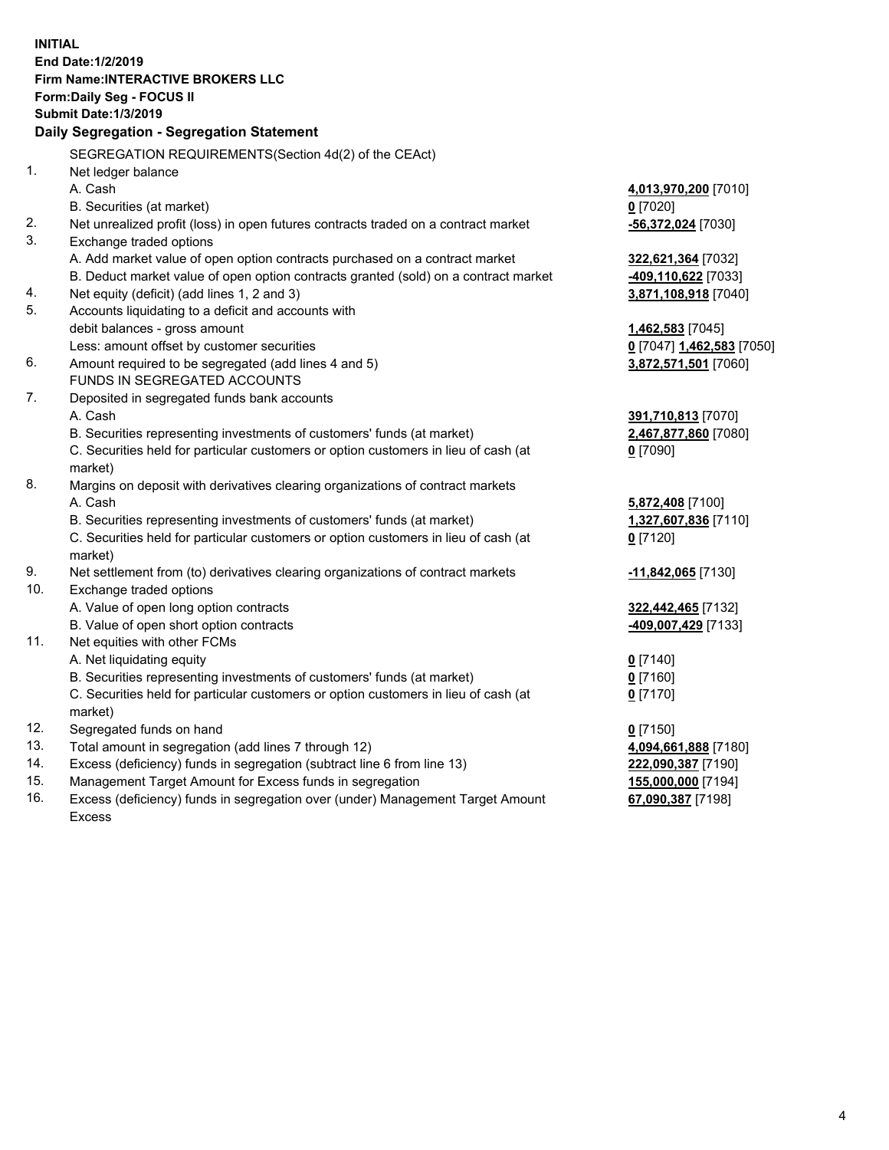**INITIAL End Date:1/2/2019 Firm Name:INTERACTIVE BROKERS LLC Form:Daily Seg - FOCUS II Submit Date:1/3/2019 Daily Segregation - Segregation Statement** SEGREGATION REQUIREMENTS(Section 4d(2) of the CEAct) 1. Net ledger balance A. Cash **4,013,970,200** [7010] B. Securities (at market) **0** [7020] 2. Net unrealized profit (loss) in open futures contracts traded on a contract market **-56,372,024** [7030] 3. Exchange traded options A. Add market value of open option contracts purchased on a contract market **322,621,364** [7032] B. Deduct market value of open option contracts granted (sold) on a contract market **-409,110,622** [7033] 4. Net equity (deficit) (add lines 1, 2 and 3) **3,871,108,918** [7040] 5. Accounts liquidating to a deficit and accounts with debit balances - gross amount **1,462,583** [7045] Less: amount offset by customer securities **0** [7047] **1,462,583** [7050] 6. Amount required to be segregated (add lines 4 and 5) **3,872,571,501** [7060] FUNDS IN SEGREGATED ACCOUNTS 7. Deposited in segregated funds bank accounts A. Cash **391,710,813** [7070] B. Securities representing investments of customers' funds (at market) **2,467,877,860** [7080] C. Securities held for particular customers or option customers in lieu of cash (at market) **0** [7090] 8. Margins on deposit with derivatives clearing organizations of contract markets A. Cash **5,872,408** [7100] B. Securities representing investments of customers' funds (at market) **1,327,607,836** [7110] C. Securities held for particular customers or option customers in lieu of cash (at market) **0** [7120] 9. Net settlement from (to) derivatives clearing organizations of contract markets **-11,842,065** [7130] 10. Exchange traded options A. Value of open long option contracts **322,442,465** [7132] B. Value of open short option contracts **-409,007,429** [7133] 11. Net equities with other FCMs A. Net liquidating equity **0** [7140] B. Securities representing investments of customers' funds (at market) **0** [7160] C. Securities held for particular customers or option customers in lieu of cash (at market) **0** [7170] 12. Segregated funds on hand **0** [7150] 13. Total amount in segregation (add lines 7 through 12) **4,094,661,888** [7180] 14. Excess (deficiency) funds in segregation (subtract line 6 from line 13) **222,090,387** [7190] 15. Management Target Amount for Excess funds in segregation **155,000,000** [7194] 16. Excess (deficiency) funds in segregation over (under) Management Target Amount **67,090,387** [7198]

Excess